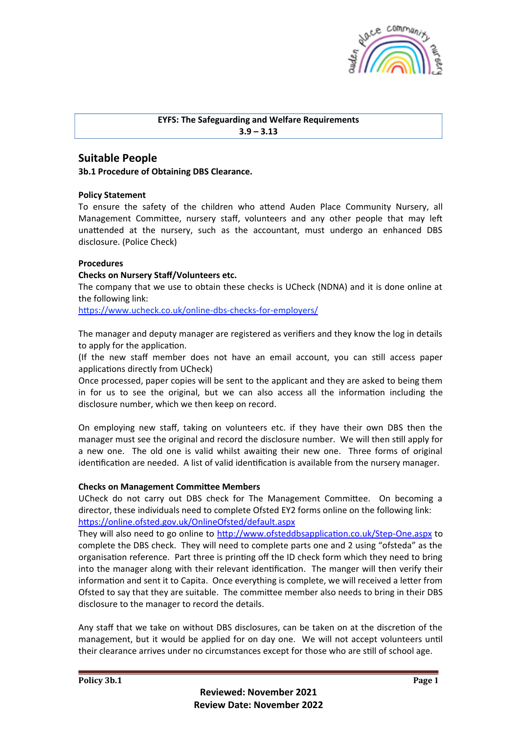

## **EYFS: The Safeguarding and Welfare Requirements 3.9 – 3.13**

# **Suitable People**

**3b.1 Procedure of Obtaining DBS Clearance.** 

## **Policy Statement**

To ensure the safety of the children who attend Auden Place Community Nursery, all Management Committee, nursery staff, volunteers and any other people that may left unattended at the nursery, such as the accountant, must undergo an enhanced DBS disclosure. (Police Check)

## **Procedures**

## **Checks on Nursery Staff/Volunteers etc.**

The company that we use to obtain these checks is UCheck (NDNA) and it is done online at the following link:

https://www.ucheck.co.uk/online-dbs-checks-for-employers/

The manager and deputy manager are registered as verifiers and they know the log in details to apply for the application.

(If the new staff member does not have an email account, you can still access paper applications directly from UCheck)

Once processed, paper copies will be sent to the applicant and they are asked to being them in for us to see the original, but we can also access all the information including the disclosure number, which we then keep on record.

On employing new staff, taking on volunteers etc. if they have their own DBS then the manager must see the original and record the disclosure number. We will then still apply for a new one. The old one is valid whilst awaiting their new one. Three forms of original identification are needed. A list of valid identification is available from the nursery manager.

## **Checks on Management Committee Members**

UCheck do not carry out DBS check for The Management Committee. On becoming a director, these individuals need to complete Ofsted EY2 forms online on the following link: h2ps://online.ofsted.gov.uk/OnlineOfsted/default.aspx

They will also need to go online to http://www.ofsteddbsapplication.co.uk/Step-One.aspx to complete the DBS check. They will need to complete parts one and 2 using "ofsteda" as the organisation reference. Part three is printing off the ID check form which they need to bring into the manager along with their relevant identification. The manger will then verify their information and sent it to Capita. Once everything is complete, we will received a letter from Ofsted to say that they are suitable. The committee member also needs to bring in their DBS disclosure to the manager to record the details.

Any staff that we take on without DBS disclosures, can be taken on at the discretion of the management, but it would be applied for on day one. We will not accept volunteers until their clearance arrives under no circumstances except for those who are still of school age.